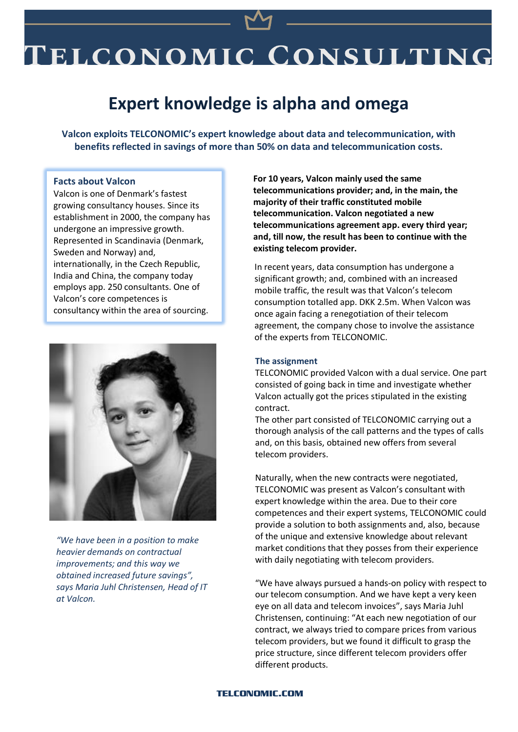# ELCONOMIC CONSULTING

## **Expert knowledge is alpha and omega**

**Valcon exploits TELCONOMIC's expert knowledge about data and telecommunication, with benefits reflected in savings of more than 50% on data and telecommunication costs.**

#### **Facts about Valcon**

Valcon is one of Denmark's fastest growing consultancy houses. Since its establishment in 2000, the company has undergone an impressive growth. Represented in Scandinavia (Denmark, Sweden and Norway) and, internationally, in the Czech Republic, India and China, the company today employs app. 250 consultants. One of Valcon's core competences is consultancy within the area of sourcing.



*"We have been in a position to make heavier demands on contractual improvements; and this way we obtained increased future savings", says Maria Juhl Christensen, Head of IT at Valcon.*

**For 10 years, Valcon mainly used the same telecommunications provider; and, in the main, the majority of their traffic constituted mobile telecommunication. Valcon negotiated a new telecommunications agreement app. every third year; and, till now, the result has been to continue with the existing telecom provider.**

In recent years, data consumption has undergone a significant growth; and, combined with an increased mobile traffic, the result was that Valcon's telecom consumption totalled app. DKK 2.5m. When Valcon was once again facing a renegotiation of their telecom agreement, the company chose to involve the assistance of the experts from TELCONOMIC.

#### **The assignment**

TELCONOMIC provided Valcon with a dual service. One part consisted of going back in time and investigate whether Valcon actually got the prices stipulated in the existing contract.

The other part consisted of TELCONOMIC carrying out a thorough analysis of the call patterns and the types of calls and, on this basis, obtained new offers from several telecom providers.

Naturally, when the new contracts were negotiated, TELCONOMIC was present as Valcon's consultant with expert knowledge within the area. Due to their core competences and their expert systems, TELCONOMIC could provide a solution to both assignments and, also, because of the unique and extensive knowledge about relevant market conditions that they posses from their experience with daily negotiating with telecom providers.

"We have always pursued a hands-on policy with respect to our telecom consumption. And we have kept a very keen eye on all data and telecom invoices", says Maria Juhl Christensen, continuing: "At each new negotiation of our contract, we always tried to compare prices from various telecom providers, but we found it difficult to grasp the price structure, since different telecom providers offer different products.

#### **TELCONOMIC.COM**